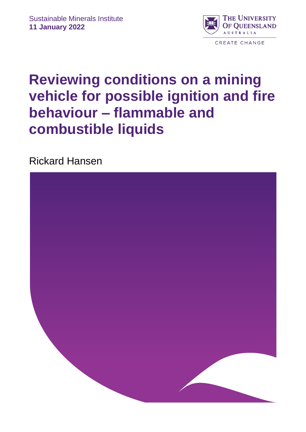

# **Reviewing conditions on a mining vehicle for possible ignition and fire behaviour – flammable and combustible liquids**

Rickard Hansen

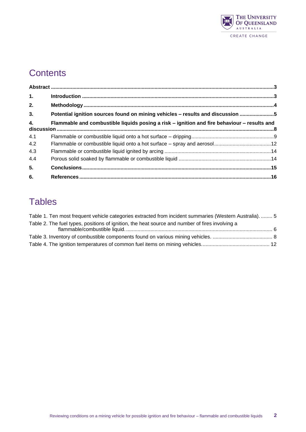

# **Contents**

| 1.  |                                                                                             |  |
|-----|---------------------------------------------------------------------------------------------|--|
| 2.  |                                                                                             |  |
| 3.  | Potential ignition sources found on mining vehicles - results and discussion                |  |
| 4.  | Flammable and combustible liquids posing a risk – ignition and fire behaviour – results and |  |
| 4.1 |                                                                                             |  |
| 4.2 |                                                                                             |  |
| 4.3 |                                                                                             |  |
| 4.4 |                                                                                             |  |
| 5.  |                                                                                             |  |
| 6.  |                                                                                             |  |

# **Tables**

| Table 1. Ten most frequent vehicle categories extracted from incident summaries (Western Australia).  5 |  |
|---------------------------------------------------------------------------------------------------------|--|
| Table 2. The fuel types, positions of ignition, the heat source and number of fires involving a         |  |
|                                                                                                         |  |
|                                                                                                         |  |
|                                                                                                         |  |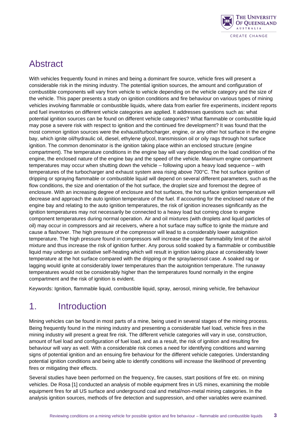

### Abstract

<span id="page-2-0"></span>With vehicles frequently found in mines and being a dominant fire source, vehicle fires will present a considerable risk in the mining industry. The potential ignition sources, the amount and configuration of combustible components will vary from vehicle to vehicle depending on the vehicle category and the size of the vehicle. This paper presents a study on ignition conditions and fire behaviour on various types of mining vehicles involving flammable or combustible liquids, where data from earlier fire experiments, incident reports and fuel inventories on different vehicle categories are applied. It addresses questions such as: what potential ignition sources can be found on different vehicle categories? What flammable or combustible liquid may pose a severe risk with respect to ignition and the continued fire development? It was found that the most common ignition sources were the exhaust/turbocharger, engine, or any other hot surface in the engine bay, which ignite oil/hydraulic oil, diesel, ethylene glycol, transmission oil or oily rags through hot surface ignition. The common denominator is the ignition taking place within an enclosed structure (engine compartment). The temperature conditions in the engine bay will vary depending on the load condition of the engine, the enclosed nature of the engine bay and the speed of the vehicle. Maximum engine compartment temperatures may occur when shutting down the vehicle – following upon a heavy load sequence – with temperatures of the turbocharger and exhaust system area rising above 700°C. The hot surface ignition of dripping or spraying flammable or combustible liquid will depend on several different parameters, such as the flow conditions, the size and orientation of the hot surface, the droplet size and foremost the degree of enclosure. With an increasing degree of enclosure and hot surfaces, the hot surface ignition temperature will decrease and approach the auto ignition temperature of the fuel. If accounting for the enclosed nature of the engine bay and relating to the auto ignition temperatures, the risk of ignition increases significantly as the ignition temperatures may not necessarily be connected to a heavy load but coming close to engine component temperatures during normal operation. Air and oil mixtures (with droplets and liquid particles of oil) may occur in compressors and air receivers, where a hot surface may suffice to ignite the mixture and cause a flashover. The high pressure of the compressor will lead to a considerably lower autoignition temperature. The high pressure found in compressors will increase the upper flammability limit of the air/oil mixture and thus increase the risk of ignition further. Any porous solid soaked by a flammable or combustible liquid may undergo an oxidative self-heating which will result in ignition taking place at considerably lower temperature at the hot surface compared with the dripping or the spray/aerosol case. A soaked rag or lagging would ignite at considerably lower temperatures than the autoignition temperature. The runaway temperatures would not be considerably higher than the temperatures found normally in the engine compartment and the risk of ignition is evident.

Keywords: Ignition, flammable liquid, combustible liquid, spray, aerosol, mining vehicle, fire behaviour

# <span id="page-2-1"></span>1. Introduction

Mining vehicles can be found in most parts of a mine, being used in several stages of the mining process. Being frequently found in the mining industry and presenting a considerable fuel load, vehicle fires in the mining industry will present a great fire risk. The different vehicle categories will vary in use, construction, amount of fuel load and configuration of fuel load, and as a result, the risk of ignition and resulting fire behaviour will vary as well. With a considerable risk comes a need for identifying conditions and warning signs of potential ignition and an ensuing fire behaviour for the different vehicle categories. Understanding potential ignition conditions and being able to identify conditions will increase the likelihood of preventing fires or mitigating their effects.

Several studies have been performed on the frequency, fire causes, start positions of fire etc. on mining vehicles. De Rosa [1] conducted an analysis of mobile equipment fires in US mines, examining the mobile equipment fires for all US surface and underground coal and metal/non-metal mining categories. In the analysis ignition sources, methods of fire detection and suppression, and other variables were examined.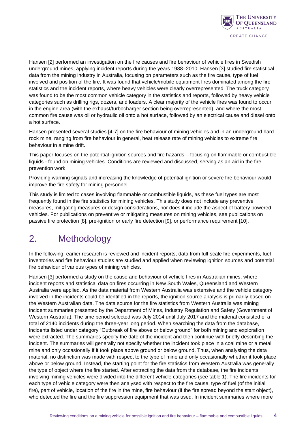

Hansen [2] performed an investigation on the fire causes and fire behaviour of vehicle fires in Swedish underground mines, applying incident reports during the years 1988–2010. Hansen [3] studied fire statistical data from the mining industry in Australia, focusing on parameters such as the fire cause, type of fuel involved and position of the fire. It was found that vehicle/mobile equipment fires dominated among the fire statistics and the incident reports, where heavy vehicles were clearly overrepresented. The truck category was found to be the most common vehicle category in the statistics and reports, followed by heavy vehicle categories such as drilling rigs, dozers, and loaders. A clear majority of the vehicle fires was found to occur in the engine area (with the exhaust/turbocharger section being overrepresented), and where the most common fire cause was oil or hydraulic oil onto a hot surface, followed by an electrical cause and diesel onto a hot surface.

Hansen presented several studies [4-7] on the fire behaviour of mining vehicles and in an underground hard rock mine, ranging from fire behaviour in general, heat release rate of mining vehicles to extreme fire behaviour in a mine drift.

This paper focuses on the potential ignition sources and fire hazards – focusing on flammable or combustible liquids - found on mining vehicles. Conditions are reviewed and discussed, serving as an aid in the fire prevention work.

Providing warning signals and increasing the knowledge of potential ignition or severe fire behaviour would improve the fire safety for mining personnel.

This study is limited to cases involving flammable or combustible liquids, as these fuel types are most frequently found in the fire statistics for mining vehicles. This study does not include any preventive measures, mitigating measures or design considerations, nor does it include the aspect of battery powered vehicles. For publications on preventive or mitigating measures on mining vehicles, see publications on passive fire protection [8], pre-ignition or early fire detection [9], or performance requirement [10].

### <span id="page-3-0"></span>2. Methodology

In the following, earlier research is reviewed and incident reports, data from full-scale fire experiments, fuel inventories and fire behaviour studies are studied and applied when reviewing ignition sources and potential fire behaviour of various types of mining vehicles.

Hansen [3] performed a study on the cause and behaviour of vehicle fires in Australian mines, where incident reports and statistical data on fires occurring in New South Wales, Queensland and Western Australia were applied. As the data material from Western Australia was extensive and the vehicle category involved in the incidents could be identified in the reports, the ignition source analysis is primarily based on the Western Australian data. The data source for the fire statistics from Western Australia was mining incident summaries presented by the Department of Mines, Industry Regulation and Safety (Government of Western Australia). The time period selected was July 2014 until July 2017 and the material consisted of a total of 2140 incidents during the three-year long period. When searching the data from the database, incidents listed under category "Outbreak of fire above or below ground" for both mining and exploration were extracted. The summaries specify the date of the incident and then continue with briefly describing the incident. The summaries will generally not specify whether the incident took place in a coal mine or a metal mine and only occasionally if it took place above ground or below ground. Thus, when analysing the data material, no distinction was made with respect to the type of mine and only occasionally whether it took place above or below ground. Instead, the starting point for the fire statistics from Western Australia was generally the type of object where the fire started. After extracting the data from the database, the fire incidents involving mining vehicles were divided into the different vehicle categories (see table 1). The fire incidents for each type of vehicle category were then analysed with respect to the fire cause, type of fuel (of the initial fire), part of vehicle, location of the fire in the mine, fire behaviour (if the fire spread beyond the start object), who detected the fire and the fire suppression equipment that was used. In incident summaries where more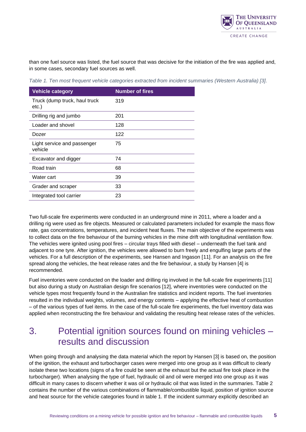

than one fuel source was listed, the fuel source that was decisive for the initiation of the fire was applied and, in some cases, secondary fuel sources as well.

<span id="page-4-1"></span>*Table 1. Ten most frequent vehicle categories extracted from incident summaries (Western Australia) [3].*

| <b>Vehicle category</b>                | <b>Number of fires</b> |
|----------------------------------------|------------------------|
| Truck (dump truck, haul truck<br>etc.) | 319                    |
| Drilling rig and jumbo                 | 201                    |
| Loader and shovel                      | 128                    |
| Dozer                                  | 122                    |
| Light service and passenger<br>vehicle | 75                     |
| Excavator and digger                   | 74                     |
| Road train                             | 68                     |
| Water cart                             | 39                     |
| Grader and scraper                     | 33                     |
| Integrated tool carrier                | 23                     |

Two full-scale fire experiments were conducted in an underground mine in 2011, where a loader and a drilling rig were used as fire objects. Measured or calculated parameters included for example the mass flow rate, gas concentrations, temperatures, and incident heat fluxes. The main objective of the experiments was to collect data on the fire behaviour of the burning vehicles in the mine drift with longitudinal ventilation flow. The vehicles were ignited using pool fires – circular trays filled with diesel – underneath the fuel tank and adjacent to one tyre. After ignition, the vehicles were allowed to burn freely and engulfing large parts of the vehicles. For a full description of the experiments, see Hansen and Ingason [11]. For an analysis on the fire spread along the vehicles, the heat release rates and the fire behaviour, a study by Hansen [4] is recommended.

Fuel inventories were conducted on the loader and drilling rig involved in the full-scale fire experiments [11] but also during a study on Australian design fire scenarios [12], where inventories were conducted on the vehicle types most frequently found in the Australian fire statistics and incident reports. The fuel inventories resulted in the individual weights, volumes, and energy contents – applying the effective heat of combustion – of the various types of fuel items. In the case of the full-scale fire experiments, the fuel inventory data was applied when reconstructing the fire behaviour and validating the resulting heat release rates of the vehicles.

### <span id="page-4-0"></span>3. Potential ignition sources found on mining vehicles – results and discussion

When going through and analysing the data material which the report by Hansen [3] is based on, the position of the ignition, the exhaust and turbocharger cases were merged into one group as it was difficult to clearly isolate these two locations (signs of a fire could be seen at the exhaust but the actual fire took place in the turbocharger). When analysing the type of fuel, hydraulic oil and oil were merged into one group as it was difficult in many cases to discern whether it was oil or hydraulic oil that was listed in the summaries. Table 2 contains the number of the various combinations of flammable/combustible liquid, position of ignition source and heat source for the vehicle categories found in table 1. If the incident summary explicitly described an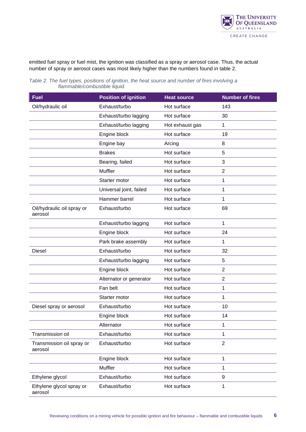

emitted fuel spray or fuel mist, the ignition was classified as a spray or aerosol case. Thus, the actual number of spray or aerosol cases was most likely higher than the numbers found in table 2.

| <b>Fuel</b>                           | <b>Position of ignition</b> | <b>Heat source</b> | <b>Number of fires</b> |  |
|---------------------------------------|-----------------------------|--------------------|------------------------|--|
| Oil/hydraulic oil                     | Exhaust/turbo               | Hot surface        | 143                    |  |
|                                       | Exhaust/turbo lagging       | Hot surface        | 30                     |  |
|                                       | Exhaust/turbo lagging       | Hot exhaust gas    | 1                      |  |
|                                       | Engine block                | Hot surface        | 19                     |  |
|                                       | Engine bay                  | Arcing             | 8                      |  |
|                                       | <b>Brakes</b>               | Hot surface        | 5                      |  |
|                                       | Bearing, failed             | Hot surface        | 3                      |  |
|                                       | Muffler                     | Hot surface        | $\overline{2}$         |  |
|                                       | Starter motor               | Hot surface        | 1                      |  |
|                                       | Universal joint, failed     | Hot surface        | 1                      |  |
|                                       | Hammer barrel               | Hot surface        | 1                      |  |
| Oil/hydraulic oil spray or<br>aerosol | Exhaust/turbo               | Hot surface        | 69                     |  |
|                                       | Exhaust/turbo lagging       | Hot surface        | 1                      |  |
|                                       | Engine block                | Hot surface        | 24                     |  |
|                                       | Park brake assembly         | Hot surface        | 1                      |  |
| <b>Diesel</b>                         | Exhaust/turbo               | Hot surface        | 32                     |  |
|                                       | Exhaust/turbo lagging       | Hot surface        | $\sqrt{5}$             |  |
|                                       | Engine block                | Hot surface        | $\overline{2}$         |  |
|                                       | Alternator or generator     | Hot surface        | $\overline{2}$         |  |
|                                       | Fan belt                    | Hot surface        | 1                      |  |
|                                       | Starter motor               | Hot surface        | 1                      |  |
| Diesel spray or aerosol               | Exhaust/turbo               | Hot surface        | 10                     |  |
|                                       | Engine block                | Hot surface        | 14                     |  |
|                                       | Alternator                  | Hot surface        | 1                      |  |
| Transmission oil                      | Exhaust/turbo               | Hot surface        | 1                      |  |
| Transmission oil spray or<br>aerosol  | Exhaust/turbo               | Hot surface        | $\overline{2}$         |  |
|                                       | Engine block                | Hot surface        | 1                      |  |
|                                       | Muffler                     | Hot surface        | 1                      |  |
| Ethylene glycol                       | Exhaust/turbo               | Hot surface        | 9                      |  |
| Ethylene glycol spray or<br>aerosol   | Exhaust/turbo               | Hot surface        | 1                      |  |

<span id="page-5-0"></span>*Table 2. The fuel types, positions of ignition, the heat source and number of fires involving a flammable/combustible liquid.*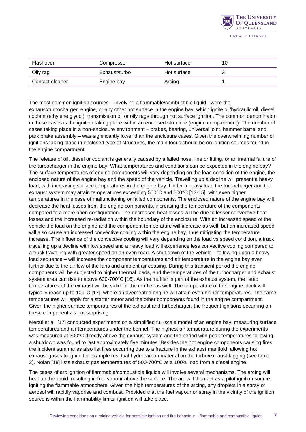

| Flashover       | Hot surface<br>Compressor |             | 10 |
|-----------------|---------------------------|-------------|----|
| Oily rag        | Exhaust/turbo             | Hot surface |    |
| Contact cleaner | Engine bay                | Arcing      |    |

The most common ignition sources – involving a flammable/combustible liquid - were the exhaust/turbocharger, engine, or any other hot surface in the engine bay, which ignite oil/hydraulic oil, diesel, coolant (ethylene glycol), transmission oil or oily rags through hot surface ignition. The common denominator in these cases is the ignition taking place within an enclosed structure (engine compartment). The number of cases taking place in a non-enclosure environment – brakes, bearing, universal joint, hammer barrel and park brake assembly – was significantly lower than the enclosure cases. Given the overwhelming number of ignitions taking place in enclosed type of structures, the main focus should be on ignition sources found in the engine compartment.

The release of oil, diesel or coolant is generally caused by a failed hose, line or fitting, or an internal failure of the turbocharger in the engine bay. What temperatures and conditions can be expected in the engine bay? The surface temperatures of engine components will vary depending on the load condition of the engine, the enclosed nature of the engine bay and the speed of the vehicle. Travelling up a decline will present a heavy load, with increasing surface temperatures in the engine bay. Under a heavy load the turbocharger and the exhaust system may attain temperatures exceeding 500°C and 600°C [13-15], with even higher temperatures in the case of malfunctioning or failed components. The enclosed nature of the engine bay will decrease the heat losses from the engine components, increasing the temperature of the components compared to a more open configuration. The decreased heat losses will be due to lesser convective heat losses and the increased re-radiation within the boundary of the enclosure. With an increased speed of the vehicle the load on the engine and the component temperature will increase as well, but an increased speed will also cause an increased convective cooling within the engine bay, thus mitigating the temperature increase. The influence of the convective cooling will vary depending on the load vs speed condition, a truck travelling up a decline with low speed and a heavy load will experience less convective cooling compared to a truck travelling with greater speed on an even road. A shut down of the vehicle – following upon a heavy load sequence – will increase the component temperatures and air temperature in the engine bay even further due to the airflow of the fans and ambient air ceasing. During this transient period the engine components will be subjected to higher thermal loads, and the temperatures of the turbocharger and exhaust system area can rise to above 600-700°C [16]. As the muffler is part of the exhaust system, the listed temperatures of the exhaust will be valid for the muffler as well. The temperature of the engine block will typically reach up to 100°C [17], where an overheated engine will attain even higher temperatures. The same temperatures will apply for a starter motor and the other components found in the engine compartment. Given the higher surface temperatures of the exhaust and turbocharger, the frequent ignitions occurring on these components is not surprising.

Merati et al. [17] conducted experiments on a simplified full-scale model of an engine bay, measuring surface temperatures and air temperatures under the bonnet. The highest air temperature during the experiments was measured at 300°C directly above the exhaust system and the period with peak temperatures following a shutdown was found to last approximately five minutes. Besides the hot engine components causing fires, the incident summaries also list fires occurring due to a fracture in the exhaust manifold, allowing hot exhaust gases to ignite for example residual hydrocarbon material on the turbo/exhaust lagging (see table 2). Nolan [18] lists exhaust gas temperatures of 500-700°C at a 100% load from a diesel engine.

The cases of arc ignition of flammable/combustible liquids will involve several mechanisms. The arcing will heat up the liquid, resulting in fuel vapour above the surface. The arc will then act as a pilot ignition source, igniting the flammable atmosphere. Given the high temperatures of the arcing, any droplets in a spray or aerosol will rapidly vaporise and combust. Provided that the fuel vapour or spray in the vicinity of the ignition source is within the flammability limits, ignition will take place.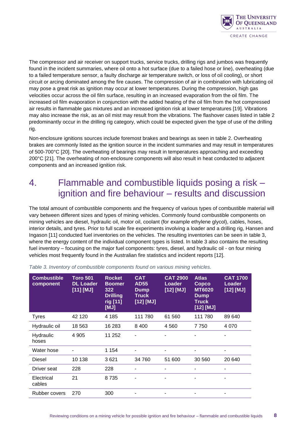

The compressor and air receiver on support trucks, service trucks, drilling rigs and jumbos was frequently found in the incident summaries, where oil onto a hot surface (due to a failed hose or line), overheating (due to a failed temperature sensor, a faulty discharge air temperature switch, or loss of oil cooling), or short circuit or arcing dominated among the fire causes. The compression of air in combination with lubricating oil may pose a great risk as ignition may occur at lower temperatures. During the compression, high gas velocities occur across the oil film surface, resulting in an increased evaporation from the oil film. The increased oil film evaporation in conjunction with the added heating of the oil film from the hot compressed air results in flammable gas mixtures and an increased ignition risk at lower temperatures [19]. Vibrations may also increase the risk, as an oil mist may result from the vibrations. The flashover cases listed in table 2 predominantly occur in the drilling rig category, which could be expected given the type of use of the drilling rig.

Non-enclosure ignitions sources include foremost brakes and bearings as seen in table 2. Overheating brakes are commonly listed as the ignition source in the incident summaries and may result in temperatures of 500-700°C [20]. The overheating of bearings may result in temperatures approaching and exceeding 200°C [21]. The overheating of non-enclosure components will also result in heat conducted to adjacent components and an increased ignition risk.

### <span id="page-7-0"></span>4. Flammable and combustible liquids posing a risk – ignition and fire behaviour – results and discussion

The total amount of combustible components and the frequency of various types of combustible material will vary between different sizes and types of mining vehicles. Commonly found combustible components on mining vehicles are diesel, hydraulic oil, motor oil, coolant (for example ethylene glycol), cables, hoses, interior details, and tyres. Prior to full scale fire experiments involving a loader and a drilling rig, Hansen and Ingason [11] conducted fuel inventories on the vehicles. The resulting inventories can be seen in table 3, where the energy content of the individual component types is listed. In table 3 also contains the resulting fuel inventory – focusing on the major fuel components: tyres, diesel, and hydraulic oil - on four mining vehicles most frequently found in the Australian fire statistics and incident reports [12].

| <b>Combustible</b><br>component | <b>Toro 501</b><br><b>DL Loader</b><br>$[11]$ $[MJ]$ | <b>Rocket</b><br><b>Boomer</b><br>322<br><b>Drilling</b><br>rig [11]<br>[MJ] | <b>CAT</b><br><b>AD55</b><br><b>Dump</b><br><b>Truck</b><br>$[12]$ $[MJ]$ | <b>CAT 2900</b><br>Loader<br>$[12]$ [MJ] | <b>Atlas</b><br>Copco<br><b>MT6020</b><br><b>Dump</b><br>Truck<br>[12] [MJ] | <b>CAT 1700</b><br>Loader<br>$[12]$ [MJ] |
|---------------------------------|------------------------------------------------------|------------------------------------------------------------------------------|---------------------------------------------------------------------------|------------------------------------------|-----------------------------------------------------------------------------|------------------------------------------|
| <b>Tyres</b>                    | 42 120                                               | 4 185                                                                        | 111 780                                                                   | 61 560                                   | 111 780                                                                     | 89 640                                   |
| Hydraulic oil                   | 18 5 63                                              | 16 283                                                                       | 8 4 0 0                                                                   | 4 5 6 0                                  | 7 750                                                                       | 4 0 7 0                                  |
| Hydraulic<br>hoses              | 4 9 0 5                                              | 11 252                                                                       |                                                                           |                                          |                                                                             |                                          |
| Water hose                      |                                                      | 1 154                                                                        |                                                                           |                                          |                                                                             |                                          |
| <b>Diesel</b>                   | 10 138                                               | 3621                                                                         | 34 760                                                                    | 51 600                                   | 30 560                                                                      | 20 640                                   |
| Driver seat                     | 228                                                  | 228                                                                          |                                                                           |                                          |                                                                             |                                          |
| Electrical<br>cables            | 21                                                   | 8735                                                                         |                                                                           |                                          |                                                                             |                                          |
| Rubber covers                   | 270                                                  | 300                                                                          |                                                                           |                                          |                                                                             |                                          |

<span id="page-7-1"></span>*Table 3. Inventory of combustible components found on various mining vehicles.*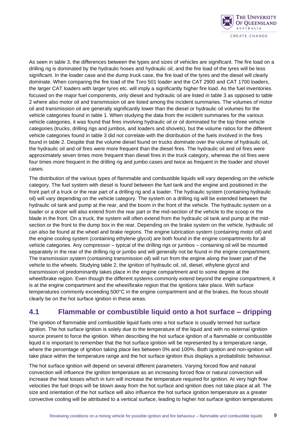

As seen in table 3, the differences between the types and sizes of vehicles are significant. The fire load on a drilling rig is dominated by the hydraulic hoses and hydraulic oil, and the fire load of the tyres will be less significant. In the loader case and the dump truck case, the fire load of the tyres and the diesel will clearly dominate. When comparing the fire load of the Toro 501 loader and the CAT 2900 and CAT 1700 loaders, the larger CAT loaders with larger tyres etc. will imply a significantly higher fire load. As the fuel inventories focused on the major fuel components, only diesel and hydraulic oil are listed in table 3 as opposed to table 2 where also motor oil and transmission oil are listed among the incident summaries. The volumes of motor oil and transmission oil are generally significantly lower than the diesel or hydraulic oil volumes for the vehicle categories found in table 1. When studying the data from the incident summaries for the various vehicle categories, it was found that fires involving hydraulic oil or oil dominated for the top three vehicle categories (trucks, drilling rigs and jumbos, and loaders and shovels), but the volume ratios for the different vehicle categories found in table 3 did not correlate with the distribution of the fuels involved in the fires found in table 2. Despite that the volume diesel found on trucks dominate over the volume of hydraulic oil, the hydraulic oil and oil fires were more frequent than the diesel fires. The hydraulic oil and oil fires were approximately seven times more frequent than diesel fires in the truck category, whereas the oil fires were four times more frequent in the drilling rig and jumbo cases and twice as frequent in the loader and shovel cases.

The distribution of the various types of flammable and combustible liquids will vary depending on the vehicle category. The fuel system with diesel is found between the fuel tank and the engine and positioned in the front part of a truck or the rear part of a drilling rig and a loader. The hydraulic system (containing hydraulic oil) will vary depending on the vehicle category. The system on a drilling rig will be extended between the hydraulic oil tank and pump at the rear, and the boom in the front of the vehicle. The hydraulic system on a loader or a dozer will also extend from the rear part or the mid-section of the vehicle to the scoop or the blade in the front. On a truck, the system will often extend from the hydraulic oil tank and pump at the midsection or the front to the dump box in the rear. Depending on the brake system on the vehicle, hydraulic oil can also be found at the wheel and brake regions. The engine lubrication system (containing motor oil) and the engine cooling system (containing ethylene glycol) are both found in the engine compartments for all vehicle categories. Any compressor – typical of the drilling rigs or jumbos – containing oil will be mounted separately in the rear of the drilling rig or jumbo and will generally not be found in the engine compartment. The transmission system (containing transmission oil) will run from the engine along the lower part of the vehicle to the wheels. Studying table 2, the ignition of hydraulic oil, oil, diesel, ethylene glycol and transmission oil predominantly takes place in the engine compartment and to some degree at the wheel/brake region. Even though the different systems commonly extend beyond the engine compartment, it is at the engine compartment and the wheel/brake region that the ignitions take place. With surface temperatures commonly exceeding 500°C in the engine compartment and at the brakes, the focus should clearly be on the hot surface ignition in these areas.

#### <span id="page-8-0"></span>**4.1 Flammable or combustible liquid onto a hot surface – dripping**

The ignition of flammable and combustible liquid fuels onto a hot surface is usually termed hot surface ignition. The hot surface ignition is solely due to the temperature of the liquid and with no external ignition source present to force the ignition. When describing the hot surface ignition of a flammable or combustible liquid it is important to remember that the hot surface ignition will be represented by a temperature range, where the percentage of ignition taking place lies between 0% and 100%. Both ignition and non-ignition will take place within the temperature range and the hot surface ignition thus displays a probabilistic behaviour.

The hot surface ignition will depend on several different parameters. Varying forced flow and natural convection will influence the ignition temperature as an increasing forced flow or natural convection will increase the heat losses which in turn will increase the temperature required for ignition. At very high flow velocities the fuel drops will be blown away from the hot surface and ignition does not take place at all. The size and orientation of the hot surface will also influence the hot surface ignition temperature as a greater convective cooling will be attributed to a vertical surface, leading to higher hot surface ignition temperatures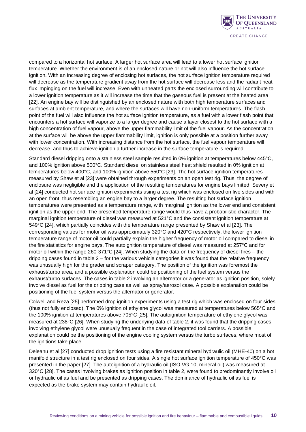

compared to a horizontal hot surface. A larger hot surface area will lead to a lower hot surface ignition temperature. Whether the environment is of an enclosed nature or not will also influence the hot surface ignition. With an increasing degree of enclosing hot surfaces, the hot surface ignition temperature required will decrease as the temperature gradient away from the hot surface will decrease less and the radiant heat flux impinging on the fuel will increase. Even with unheated parts the enclosed surrounding will contribute to a lower ignition temperature as it will increase the time that the gaseous fuel is present at the heated area [22]. An engine bay will be distinguished by an enclosed nature with both high temperature surfaces and surfaces at ambient temperature, and where the surfaces will have non-uniform temperatures. The flash point of the fuel will also influence the hot surface ignition temperature, as a fuel with a lower flash point that encounters a hot surface will vaporize to a larger degree and cause a layer closest to the hot surface with a high concentration of fuel vapour, above the upper flammability limit of the fuel vapour. As the concentration at the surface will be above the upper flammability limit, ignition is only possible at a position further away with lower concentration. With increasing distance from the hot surface, the fuel vapour temperature will decrease, and thus to achieve ignition a further increase in the surface temperature is required.

Standard diesel dripping onto a stainless steel sample resulted in 0% ignition at temperatures below 445°C, and 100% ignition above 500°C. Standard diesel on stainless steel heat shield resulted in 0% ignition at temperatures below 400°C, and 100% ignition above 550°C [23]. The hot surface ignition temperatures measured by Shaw et al [23] were obtained through experiments on an open test rig. Thus, the degree of enclosure was negligible and the application of the resulting temperatures for engine bays limited. Severy et al [24] conducted hot surface ignition experiments using a test rig which was enclosed on five sides and with an open front, thus resembling an engine bay to a larger degree. The resulting hot surface ignition temperatures were presented as a temperature range, with marginal ignition as the lower end and consistent ignition as the upper end. The presented temperature range would thus have a probabilistic character. The marginal ignition temperature of diesel was measured at 521°C and the consistent ignition temperature at 549°C [24], which partially coincides with the temperature range presented by Shaw et al [23]. The corresponding values for motor oil was approximately 320°C and 420°C respectively, the lower ignition temperature range of motor oil could partially explain the higher frequency of motor oil compared to diesel in the fire statistics for engine bays. The autoignition temperature of diesel was measured at 257°C and for motor oil within the range 260-371°C [24]. When studying the data on the frequency of diesel fires – the dripping cases found in table 2 – for the various vehicle categories it was found that the relative frequency was unusually high for the grader and scraper category. The position of the ignition was foremost the exhaust/turbo area, and a possible explanation could be positioning of the fuel system versus the exhaust/turbo surfaces. The cases in table 2 involving an alternator or a generator as ignition position, solely involve diesel as fuel for the dripping case as well as spray/aerosol case. A possible explanation could be positioning of the fuel system versus the alternator or generator.

Colwell and Reza [25] performed drop ignition experiments using a test rig which was enclosed on four sides (thus not fully enclosed). The 0% ignition of ethylene glycol was measured at temperatures below 565°C and the 100% ignition at temperatures above 705°C [25]. The autoignition temperature of ethylene glycol was measured at 238°C [26]. When studying the underlying data of table 2, it was found that the dripping cases involving ethylene glycol were unusually frequent in the case of integrated tool carriers. A possible explanation could be the positioning of the engine cooling system versus the turbo surfaces, where most of the ignitions take place.

Deleanu et al [27] conducted drop ignition tests using a fire resistant mineral hydraulic oil (MHE-40) on a hot manifold structure in a test rig enclosed on four sides. A single hot surface ignition temperature of 450°C was presented in the paper [27]. The autoignition of a hydraulic oil (ISO VG 10, mineral oil) was measured at 320°C [28]. The cases involving brakes as ignition position in table 2, were found to predominantly involve oil or hydraulic oil as fuel and be presented as dripping cases. The dominance of hydraulic oil as fuel is expected as the brake system may contain hydraulic oil.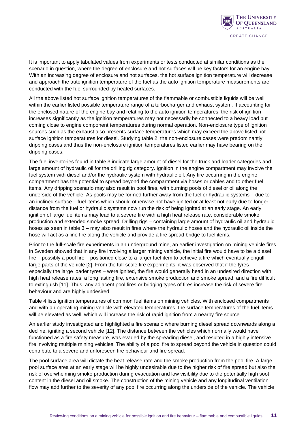

It is important to apply tabulated values from experiments or tests conducted at similar conditions as the scenario in question, where the degree of enclosure and hot surfaces will be key factors for an engine bay. With an increasing degree of enclosure and hot surfaces, the hot surface ignition temperature will decrease and approach the auto ignition temperature of the fuel as the auto ignition temperature measurements are conducted with the fuel surrounded by heated surfaces.

All the above listed hot surface ignition temperatures of the flammable or combustible liquids will be well within the earlier listed possible temperature range of a turbocharger and exhaust system. If accounting for the enclosed nature of the engine bay and relating to the auto ignition temperatures, the risk of ignition increases significantly as the ignition temperatures may not necessarily be connected to a heavy load but coming close to engine component temperatures during normal operation. Non-enclosure type of ignition sources such as the exhaust also presents surface temperatures which may exceed the above listed hot surface ignition temperatures for diesel. Studying table 2, the non-enclosure cases were predominantly dripping cases and thus the non-enclosure ignition temperatures listed earlier may have bearing on the dripping cases.

The fuel inventories found in table 3 indicate large amount of diesel for the truck and loader categories and large amount of hydraulic oil for the drilling rig category. Ignition in the engine compartment may involve the fuel system with diesel and/or the hydraulic system with hydraulic oil. Any fire occurring in the engine compartment has the potential to spread beyond the compartment via hoses or cables and to other fuel items. Any dripping scenario may also result in pool fires, with burning pools of diesel or oil along the underside of the vehicle. As pools may be formed further away from the fuel or hydraulic systems – due to an inclined surface – fuel items which should otherwise not have ignited or at least not early due to longer distance from the fuel or hydraulic systems now run the risk of being ignited at an early stage. An early ignition of large fuel items may lead to a severe fire with a high heat release rate, considerable smoke production and extended smoke spread. Drilling rigs – containing large amount of hydraulic oil and hydraulic hoses as seen in table 3 – may also result in fires where the hydraulic hoses and the hydraulic oil inside the hose will act as a line fire along the vehicle and provide a fire spread bridge to fuel items.

Prior to the full-scale fire experiments in an underground mine, an earlier investigation on mining vehicle fires in Sweden showed that in any fire involving a larger mining vehicle, the initial fire would have to be a diesel fire – possibly a pool fire – positioned close to a larger fuel item to achieve a fire which eventually engulf large parts of the vehicle [2]. From the full-scale fire experiments, it was observed that if the tyres – especially the large loader tyres – were ignited, the fire would generally head in an undesired direction with high heat release rates, a long lasting fire, extensive smoke production and smoke spread, and a fire difficult to extinguish [11]. Thus, any adjacent pool fires or bridging types of fires increase the risk of severe fire behaviour and are highly undesired.

Table 4 lists ignition temperatures of common fuel items on mining vehicles. With enclosed compartments and with an operating mining vehicle with elevated temperatures, the surface temperatures of the fuel items will be elevated as well, which will increase the risk of rapid ignition from a nearby fire source.

An earlier study investigated and highlighted a fire scenario where burning diesel spread downwards along a decline, igniting a second vehicle [12]. The distance between the vehicles which normally would have functioned as a fire safety measure, was evaded by the spreading diesel, and resulted in a highly intensive fire involving multiple mining vehicles. The ability of a pool fire to spread beyond the vehicle in question could contribute to a severe and unforeseen fire behaviour and fire spread.

The pool surface area will dictate the heat release rate and the smoke production from the pool fire. A large pool surface area at an early stage will be highly undesirable due to the higher risk of fire spread but also the risk of overwhelming smoke production during evacuation and low visibility due to the potentially high soot content in the diesel and oil smoke. The construction of the mining vehicle and any longitudinal ventilation flow may add further to the severity of any pool fire occurring along the underside of the vehicle. The vehicle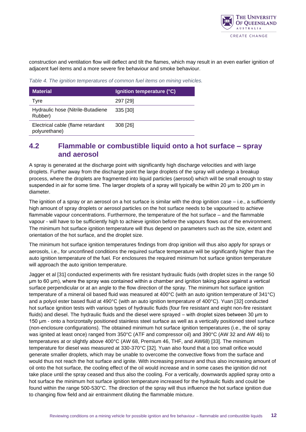

construction and ventilation flow will deflect and tilt the flames, which may result in an even earlier ignition of adjacent fuel items and a more severe fire behaviour and smoke behaviour.

<span id="page-11-1"></span>*Table 4. The ignition temperatures of common fuel items on mining vehicles.*

| <b>Material</b>                                    | Ignition temperature (°C) |
|----------------------------------------------------|---------------------------|
| Tyre                                               | 297 [29]                  |
| Hydraulic hose (Nitrile-Butadiene<br>Rubber)       | 335 [30]                  |
| Electrical cable (flame retardant<br>polyurethane) | 308 [26]                  |

#### <span id="page-11-0"></span>**4.2 Flammable or combustible liquid onto a hot surface – spray and aerosol**

A spray is generated at the discharge point with significantly high discharge velocities and with large droplets. Further away from the discharge point the large droplets of the spray will undergo a breakup process, where the droplets are fragmented into liquid particles (aerosol) which will be small enough to stay suspended in air for some time. The larger droplets of a spray will typically be within 20 μm to 200 μm in diameter.

The ignition of a spray or an aerosol on a hot surface is similar with the drop ignition case  $-$  i.e., a sufficiently high amount of spray droplets or aerosol particles on the hot surface needs to be vapourised to achieve flammable vapour concentrations. Furthermore, the temperature of the hot surface – and the flammable vapour - will have to be sufficiently high to achieve ignition before the vapours flows out of the environment. The minimum hot surface ignition temperature will thus depend on parameters such as the size, extent and orientation of the hot surface, and the droplet size.

The minimum hot surface ignition temperatures findings from drop ignition will thus also apply for sprays or aerosols, i.e., for unconfined conditions the required surface temperature will be significantly higher than the auto ignition temperature of the fuel. For enclosures the required minimum hot surface ignition temperature will approach the auto ignition temperature.

Jagger et al [31] conducted experiments with fire resistant hydraulic fluids (with droplet sizes in the range 50 μm to 60 μm), where the spray was contained within a chamber and ignition taking place against a vertical surface perpendicular or at an angle to the flow direction of the spray. The minimum hot surface ignition temperature of a mineral oil based fluid was measured at 400°C (with an auto ignition temperature of 341°C) and a polyol ester based fluid at 490°C (with an auto ignition temperature of 400°C). Yuan [32] conducted hot surface ignition tests with various types of hydraulic fluids (four fire resistant and eight non-fire resistant fluids) and diesel. The hydraulic fluids and the diesel were sprayed – with droplet sizes between 30 μm to 150 μm - onto a horizontally positioned stainless steel surface as well as a vertically positioned steel surface (non-enclosure configurations). The obtained minimum hot surface ignition temperatures (i.e., the oil spray was ignited at least once) ranged from 350°C (ATF and compressor oil) and 390°C (AW 32 and AW 46) to temperatures at or slightly above 400°C (AW 68, Premium 46, THF, and AW68) [33]. The minimum temperature for diesel was measured at 330-370°C [32]. Yuan also found that a too small orifice would generate smaller droplets, which may be unable to overcome the convective flows from the surface and would thus not reach the hot surface and ignite. With increasing pressure and thus also increasing amount of oil onto the hot surface, the cooling effect of the oil would increase and in some cases the ignition did not take place until the spray ceased and thus also the cooling. For a vertically, downwards applied spray onto a hot surface the minimum hot surface ignition temperature increased for the hydraulic fluids and could be found within the range 500-530°C. The direction of the spray will thus influence the hot surface ignition due to changing flow field and air entrainment diluting the flammable mixture.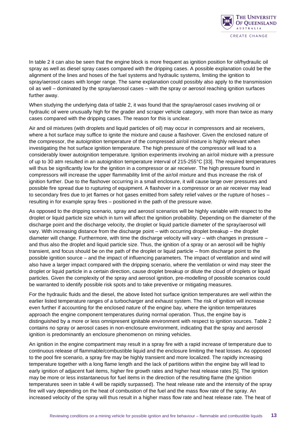

In table 2 it can also be seen that the engine block is more frequent as ignition position for oil/hydraulic oil spray as well as diesel spray cases compared with the dripping cases. A possible explanation could be the alignment of the lines and hoses of the fuel systems and hydraulic systems, limiting the ignition to spray/aerosol cases with longer range. The same explanation could possibly also apply to the transmission oil as well – dominated by the spray/aerosol cases – with the spray or aerosol reaching ignition surfaces further away.

When studying the underlying data of table 2, it was found that the spray/aerosol cases involving oil or hydraulic oil were unusually high for the grader and scraper vehicle category, with more than twice as many cases compared with the dripping cases. The reason for this is unclear.

Air and oil mixtures (with droplets and liquid particles of oil) may occur in compressors and air receivers, where a hot surface may suffice to ignite the mixture and cause a flashover. Given the enclosed nature of the compressor, the autoignition temperature of the compressed air/oil mixture is highly relevant when investigating the hot surface ignition temperature. The high pressure of the compressor will lead to a considerably lower autoignition temperature. Ignition experiments involving an air/oil mixture with a pressure of up to 30 atm resulted in an autoignition temperature interval of 215-255°C [33]. The required temperatures will thus be significantly low for the ignition in a compressor or air receiver. The high pressure found in compressors will increase the upper flammability limit of the air/oil mixture and thus increase the risk of ignition further. Due to the flashover occurring in a small enclosure, it will cause large over pressures and possible fire spread due to rupturing of equipment. A flashover in a compressor or an air receiver may lead to secondary fires due to jet flames or hot gases emitted from safety relief valves or the rupture of hoses – resulting in for example spray fires – positioned in the path of the pressure wave.

As opposed to the dripping scenario, spray and aerosol scenarios will be highly variable with respect to the droplet or liquid particle size which in turn will affect the ignition probability. Depending on the diameter of the discharge point and the discharge velocity, the droplet or liquid particle diameter of the spray/aerosol will vary. With increasing distance from the discharge point – with occurring droplet breakup – the droplet diameter will change. Furthermore, with time the discharge velocity will vary – with changes in pressure – and thus also the droplet and liquid particle size. Thus, the ignition of a spray or an aerosol will be highly transient, and focus should be on the path of the droplet or liquid particle – from discharge point to the possible ignition source – and the impact of influencing parameters. The impact of ventilation and wind will also have a larger impact compared with the dripping scenario, where the ventilation or wind may steer the droplet or liquid particle in a certain direction, cause droplet breakup or dilute the cloud of droplets or liquid particles. Given the complexity of the spray and aerosol ignition, pre-modelling of possible scenarios could be warranted to identify possible risk spots and to take preventive or mitigating measures.

For the hydraulic fluids and the diesel, the above listed hot surface ignition temperatures are well within the earlier listed temperature ranges of a turbocharger and exhaust system. The risk of ignition will increase even further if accounting for the enclosed nature of the engine bay, where the ignition temperatures approach the engine component temperatures during normal operation. Thus, the engine bay is distinguished by a more or less omnipresent ignitable environment with respect to ignition sources. Table 2 contains no spray or aerosol cases in non-enclosure environment, indicating that the spray and aerosol ignition is predominantly an enclosure phenomenon on mining vehicles.

An ignition in the engine compartment may result in a spray fire with a rapid increase of temperature due to continuous release of flammable/combustible liquid and the enclosure limiting the heat losses. As opposed to the pool fire scenario, a spray fire may be highly transient and more localized. The rapidly increasing temperature together with a long flame length and the lack of partitions within the engine bay will lead to early ignition of adjacent fuel items, higher fire growth rates and higher heat release rates [5]. The ignition may be more or less instantaneous for fuel items in the direction of the resulting flame (the ignition temperatures seen in table 4 will be rapidly surpassed). The heat release rate and the intensity of the spray fire will vary depending on the heat of combustion of the fuel and the mass flow rate of the spray. An increased velocity of the spray will thus result in a higher mass flow rate and heat release rate. The heat of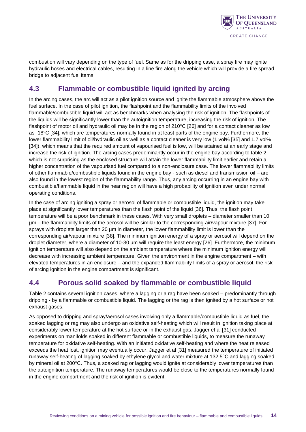

combustion will vary depending on the type of fuel. Same as for the dripping case, a spray fire may ignite hydraulic hoses and electrical cables, resulting in a line fire along the vehicle which will provide a fire spread bridge to adjacent fuel items.

#### <span id="page-13-0"></span>**4.3 Flammable or combustible liquid ignited by arcing**

In the arcing cases, the arc will act as a pilot ignition source and ignite the flammable atmosphere above the fuel surface. In the case of pilot ignition, the flashpoint and the flammability limits of the involved flammable/combustible liquid will act as benchmarks when analysing the risk of ignition. The flashpoints of the liquids will be significantly lower than the autoignition temperature, increasing the risk of ignition. The flashpoint of motor oil and hydraulic oil may be in the region of 210°C [26] and for a contact cleaner as low as -18°C [34], which are temperatures normally found in at least parts of the engine bay. Furthermore, the lower flammability limit of oil/hydraulic oil as well as a contact cleaner is very low (1 vol% [35] and 1.7 vol% [34]), which means that the required amount of vapourised fuel is low, will be attained at an early stage and increase the risk of ignition. The arcing cases predominantly occur in the engine bay according to table 2, which is not surprising as the enclosed structure will attain the lower flammability limit earlier and retain a higher concentration of the vapourised fuel compared to a non-enclosure case. The lower flammability limits of other flammable/combustible liquids found in the engine bay - such as diesel and transmission oil – are also found in the lowest region of the flammability range. Thus, any arcing occurring in an engine bay with combustible/flammable liquid in the near region will have a high probability of ignition even under normal operating conditions.

In the case of arcing igniting a spray or aerosol of flammable or combustible liquid, the ignition may take place at significantly lower temperatures than the flash point of the liquid [36]. Thus, the flash point temperature will be a poor benchmark in these cases. With very small droplets – diameter smaller than 10 µm – the flammability limits of the aerosol will be similar to the corresponding air/vapour mixture [37]. For sprays with droplets larger than 20  $\mu$ m in diameter, the lower flammability limit is lower than the corresponding air/vapour mixture [38]. The minimum ignition energy of a spray or aerosol will depend on the droplet diameter, where a diameter of 10-30 µm will require the least energy [26]. Furthermore, the minimum ignition temperature will also depend on the ambient temperature where the minimum ignition energy will decrease with increasing ambient temperature. Given the environment in the engine compartment – with elevated temperatures in an enclosure – and the expanded flammability limits of a spray or aerosol, the risk of arcing ignition in the engine compartment is significant.

#### <span id="page-13-1"></span>**4.4 Porous solid soaked by flammable or combustible liquid**

Table 2 contains several ignition cases, where a lagging or a rag have been soaked – predominantly through dripping - by a flammable or combustible liquid. The lagging or the rag is then ignited by a hot surface or hot exhaust gases.

As opposed to dripping and spray/aerosol cases involving only a flammable/combustible liquid as fuel, the soaked lagging or rag may also undergo an oxidative self-heating which will result in ignition taking place at considerably lower temperature at the hot surface or in the exhaust gas. Jagger et al [31] conducted experiments on manifolds soaked in different flammable or combustible liquids, to measure the runaway temperature for oxidative self-heating. With an initiated oxidative self-heating and where the heat released exceeds the heat lost, ignition may eventually occur. Jagger et al [31] measured the temperature of initiated runaway self-heating of lagging soaked by ethylene glycol and water mixture at 132.5°C and lagging soaked by mineral oil at 200°C. Thus, a soaked rag or lagging would ignite at considerably lower temperatures than the autoignition temperature. The runaway temperatures would be close to the temperatures normally found in the engine compartment and the risk of ignition is evident.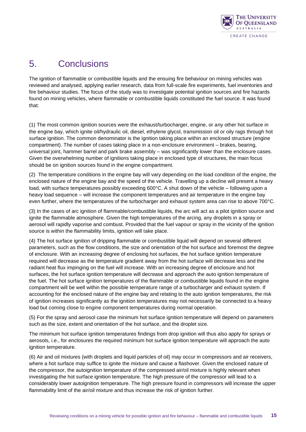

### <span id="page-14-0"></span>5. Conclusions

The ignition of flammable or combustible liquids and the ensuing fire behaviour on mining vehicles was reviewed and analysed, applying earlier research, data from full-scale fire experiments, fuel inventories and fire behaviour studies. The focus of the study was to investigate potential ignition sources and fire hazards found on mining vehicles, where flammable or combustible liquids constituted the fuel source. It was found that:

(1) The most common ignition sources were the exhaust/turbocharger, engine, or any other hot surface in the engine bay, which ignite oil/hydraulic oil, diesel, ethylene glycol, transmission oil or oily rags through hot surface ignition. The common denominator is the ignition taking place within an enclosed structure (engine compartment). The number of cases taking place in a non-enclosure environment – brakes, bearing, universal joint, hammer barrel and park brake assembly – was significantly lower than the enclosure cases. Given the overwhelming number of ignitions taking place in enclosed type of structures, the main focus should be on ignition sources found in the engine compartment.

(2) The temperature conditions in the engine bay will vary depending on the load condition of the engine, the enclosed nature of the engine bay and the speed of the vehicle. Travelling up a decline will present a heavy load, with surface temperatures possibly exceeding 600°C. A shut down of the vehicle – following upon a heavy load sequence – will increase the component temperatures and air temperature in the engine bay even further, where the temperatures of the turbocharger and exhaust system area can rise to above 700°C.

(3) In the cases of arc ignition of flammable/combustible liquids, the arc will act as a pilot ignition source and ignite the flammable atmosphere. Given the high temperatures of the arcing, any droplets in a spray or aerosol will rapidly vaporise and combust. Provided that the fuel vapour or spray in the vicinity of the ignition source is within the flammability limits, ignition will take place.

(4) The hot surface ignition of dripping flammable or combustible liquid will depend on several different parameters, such as the flow conditions, the size and orientation of the hot surface and foremost the degree of enclosure. With an increasing degree of enclosing hot surfaces, the hot surface ignition temperature required will decrease as the temperature gradient away from the hot surface will decrease less and the radiant heat flux impinging on the fuel will increase. With an increasing degree of enclosure and hot surfaces, the hot surface ignition temperature will decrease and approach the auto ignition temperature of the fuel. The hot surface ignition temperatures of the flammable or combustible liquids found in the engine compartment will be well within the possible temperature range of a turbocharger and exhaust system. If accounting for the enclosed nature of the engine bay and relating to the auto ignition temperatures, the risk of ignition increases significantly as the ignition temperatures may not necessarily be connected to a heavy load but coming close to engine component temperatures during normal operation.

(5) For the spray and aerosol case the minimum hot surface ignition temperature will depend on parameters such as the size, extent and orientation of the hot surface, and the droplet size.

The minimum hot surface ignition temperatures findings from drop ignition will thus also apply for sprays or aerosols, i.e., for enclosures the required minimum hot surface ignition temperature will approach the auto ignition temperature.

(6) Air and oil mixtures (with droplets and liquid particles of oil) may occur in compressors and air receivers, where a hot surface may suffice to ignite the mixture and cause a flashover. Given the enclosed nature of the compressor, the autoignition temperature of the compressed air/oil mixture is highly relevant when investigating the hot surface ignition temperature. The high pressure of the compressor will lead to a considerably lower autoignition temperature. The high pressure found in compressors will increase the upper flammability limit of the air/oil mixture and thus increase the risk of ignition further.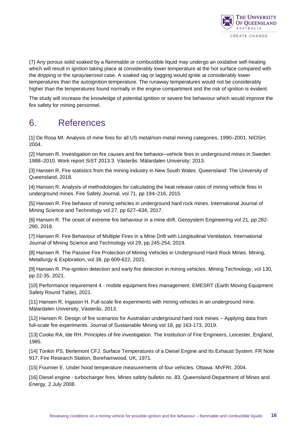

(7) Any porous solid soaked by a flammable or combustible liquid may undergo an oxidative self-heating which will result in ignition taking place at considerably lower temperature at the hot surface compared with the dripping or the spray/aerosol case. A soaked rag or lagging would ignite at considerably lower temperatures than the autoignition temperature. The runaway temperatures would not be considerably higher than the temperatures found normally in the engine compartment and the risk of ignition is evident.

The study will increase the knowledge of potential ignition or severe fire behaviour which would improve the fire safety for mining personnel.

### <span id="page-15-0"></span>6. References

[1] De Rosa MI. Analysis of mine fires for all US metal/non-metal mining categories, 1990–2001. NIOSH; 2004.

[2] Hansen R. Investigation on fire causes and fire behavior–vehicle fires in underground mines in Sweden 1988–2010. Work report SiST 2013:3. Västerås: Mälardalen University; 2013.

[3] Hansen R. Fire statistics from the mining industry in New South Wales. Queensland: The University of Queensland, 2018.

[4] Hansen R. Analysis of methodologies for calculating the heat release rates of mining vehicle fires in underground mines. Fire Safety Journal, vol 71, pp 194–216, 2015.

[5] Hansen R. Fire behavior of mining vehicles in underground hard rock mines. International Journal of Mining Science and Technology vol 27, pp 627–634, 2017.

[6] Hansen R. The onset of extreme fire behaviour in a mine drift. Geosystem Engineering vol 21, pp 282- 290, 2018.

[7] Hansen R. Fire Behaviour of Multiple Fires in a Mine Drift with Longitudinal Ventilation. International Journal of Mining Science and Technology vol 29, pp 245-254, 2019.

[8] Hansen R. The Passive Fire Protection of Mining Vehicles in Underground Hard Rock Mines. Mining, Metallurgy & Exploration, vol 38, pp 609-622, 2021.

[9] Hansen R. Pre-ignition detection and early fire detection in mining vehicles. Mining Technology, vol 130, pp 22-35, 2021.

[10] Performance requirement 4 - mobile equipment fires management. EMESRT (Earth Moving Equipment Safety Round Table), 2021.

[11] Hansen R, Ingason H. Full-scale fire experiments with mining vehicles in an underground mine. Mälardalen University, Västerås, 2013.

[12] Hansen R. Design of fire scenarios for Australian underground hard rock mines – Applying data from full-scale fire experiments. Journal of Sustainable Mining vol 18, pp 163-173, 2019.

[13] Cooke RA, Ide RH. Principles of fire investigation. The Institution of Fire Engineers, Leicester, England, 1985.

[14] Tonkin PS, Berlemont CFJ. Surface Temperatures of a Diesel Engine and Its Exhaust System. FR Note 917, Fire Research Station, Borehamwood, UK, 1971.

[15] Fournier E. Under hood temperature measurements of four vehicles. Ottawa: MVFRI, 2004.

[16] Diesel engine - turbocharger fires. Mines safety bulletin no. 83, Queensland Department of Mines and Energy, 2 July 2008.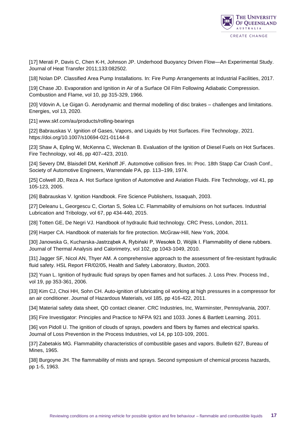

[17] Merati P, Davis C, Chen K-H, Johnson JP. Underhood Buoyancy Driven Flow—An Experimental Study. Journal of Heat Transfer 2011;133:082502.

[18] Nolan DP. Classified Area Pump Installations. In: Fire Pump Arrangements at Industrial Facilities, 2017.

[19] Chase JD. Evaporation and Ignition in Air of a Surface Oil Film Following Adiabatic Compression. Combustion and Flame, vol 10, pp 315-329, 1966.

[20] Vdovin A, Le Gigan G. Aerodynamic and thermal modelling of disc brakes – challenges and limitations. Energies, vol 13, 2020.

[21] www.skf.com/au/products/rolling-bearings

[22] Babrauskas V. Ignition of Gases, Vapors, and Liquids by Hot Surfaces. Fire Technology, 2021. https://doi.org/10.1007/s10694-021-01144-8

[23] Shaw A, Epling W, McKenna C, Weckman B. Evaluation of the Ignition of Diesel Fuels on Hot Surfaces. Fire Technology, vol 46, pp 407–423, 2010.

[24] Severy DM, Blaisdell DM, Kerkhoff JF. Automotive collision fires. In: Proc. 18th Stapp Car Crash Conf., Society of Automotive Engineers, Warrendale PA, pp. 113–199, 1974.

[25] Colwell JD, Reza A. Hot Surface Ignition of Automotive and Aviation Fluids. Fire Technology, vol 41, pp 105-123, 2005.

[26] Babrauskas V. Ignition Handbook. Fire Science Publishers, Issaquah, 2003.

[27] Deleanu L, Georgescu C, Ciortan S, Solea LC. Flammability of emulsions on hot surfaces. Industrial Lubrication and Tribology, vol 67, pp 434-440, 2015.

[28] Totten GE, De Negri VJ. Handbook of hydraulic fluid technology. CRC Press, London, 2011.

[29] Harper CA. Handbook of materials for fire protection. McGraw-Hill, New York, 2004.

[30] Janowska G, Kucharska-Jastrząbek A, Rybiński P, Wesołek D, Wójlik I. Flammability of diene rubbers. Journal of Thermal Analysis and Calorimetry, vol 102, pp 1043-1049, 2010.

[31] Jagger SF, Nicol AN, Thyer AM. A comprehensive approach to the assessment of fire-resistant hydraulic fluid safety. HSL Report FR/02/05, Health and Safety Laboratory, Buxton, 2003.

[32] Yuan L. Ignition of hydraulic fluid sprays by open flames and hot surfaces. J. Loss Prev. Process Ind., vol 19, pp 353-361, 2006.

[33] Kim CJ, Choi HH, Sohn CH. Auto-ignition of lubricating oil working at high pressures in a compressor for an air conditioner. Journal of Hazardous Materials, vol 185, pp 416-422, 2011.

[34] Material safety data sheet, QD contact cleaner. CRC Industries, Inc, Warminster, Pennsylvania, 2007.

[35] Fire Investigator: Principles and Practice to NFPA 921 and 1033. Jones & Bartlett Learning. 2011.

[36] von Pidoll U. The ignition of clouds of sprays, powders and fibers by flames and electrical sparks. Journal of Loss Prevention in the Process Industries, vol 14, pp 103-109, 2001.

[37] Zabetakis MG. Flammability characteristics of combustible gases and vapors. Bulletin 627, Bureau of Mines, 1965.

[38] Burgoyne JH. The flammability of mists and sprays. Second symposium of chemical process hazards, pp 1-5, 1963.